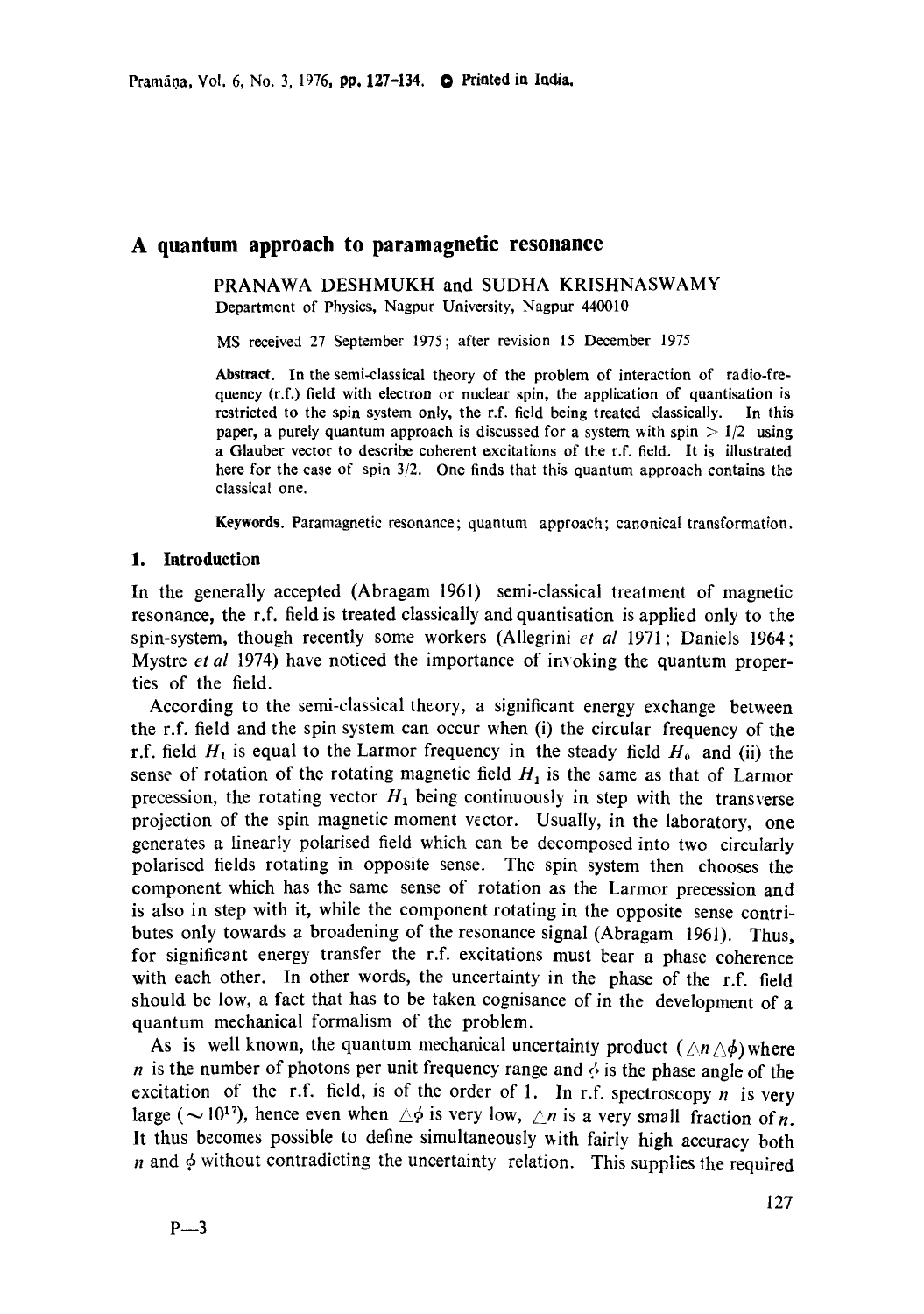# **A quantum approach to paramagnetic resonance**

PRANAWA DESHMUKH and SUDHA KRISHNASWAMY Department of Physics, Nagpur University, Nagpur 440010

MS received 27 September 1975; after revision 15 December 1975

Abstract. In the semi-classical theory of the problem of interaction of radio-frequency (r.f.) field with electron or nuclear spin, the application of quantisation is restricted to the spin system only, the r.f. field being treated classically. In this paper, a purely quantum approach is discussed for a system with spin  $> 1/2$  using a Glauber vector to describe coherent excitations of the r.f. field. It is illustrated here for the case of spin 3/2. One finds that this quantum approach contains the classical one.

Keywords. Paramagnetic resonance; quantum approach; canonical transformation.

### 1. **Introduction**

In the generally accepted (Abragam 1961) semi-classical treatment of magnetic resonance, the r.f. field is treated classically and quantisation is applied only to the spin-system, though recently some workers (Allegrini *et al* 1971; Daniels 1964; Mystre *et al* 1974) have noticed the importance of invoking the quantum properties of the field.

According to the semi-classical theory, a significant energy exchange between the r.f. field and the spin system can occur when (i) the circular frequency of the r.f. field  $H_1$  is equal to the Larmor frequency in the steady field  $H_0$  and (ii) the sense of rotation of the rotating magnetic field  $H_1$  is the same as that of Larmor precession, the rotating vector  $H_1$  being continuously in step with the transverse projection of the spin magnetic moment vector. Usually, in the laboratory, one generates a linearly polarised field which can be decomposed into two circularly polarised fields rotating in opposite sense. The spin system then chooses the component which has the same sense of rotation as the Larmor precession and is also in step witb it, while the component rotating in the opposite sense contributes only towards a broadening of the resonance signal (Abragam 1961). Thus, for significant energy transfer the r.f. excitations must bear a phase coherence with each other. In other words, the uncertainty in the phase of the r.f. field should be low, a fact that has to be taken cognisance of in the development of a quantum mechanical formalism of the problem.

As is well known, the quantum mechanical uncertainty product  $(\triangle n \triangle \phi)$  where *n* is the number of photons per unit frequency range and  $\phi$  is the phase angle of the excitation of the r.f. field, is of the order of 1. In r.f. spectroscopy  $n$  is very large ( $\sim$  10<sup>17</sup>), hence even when  $\triangle \phi$  is very low,  $\triangle n$  is a very small fraction of *n*. It thus becomes possible to define simultaneously with fairly high accuracy both  $n$  and  $\phi$  without contradicting the uncertainty relation. This supplies the required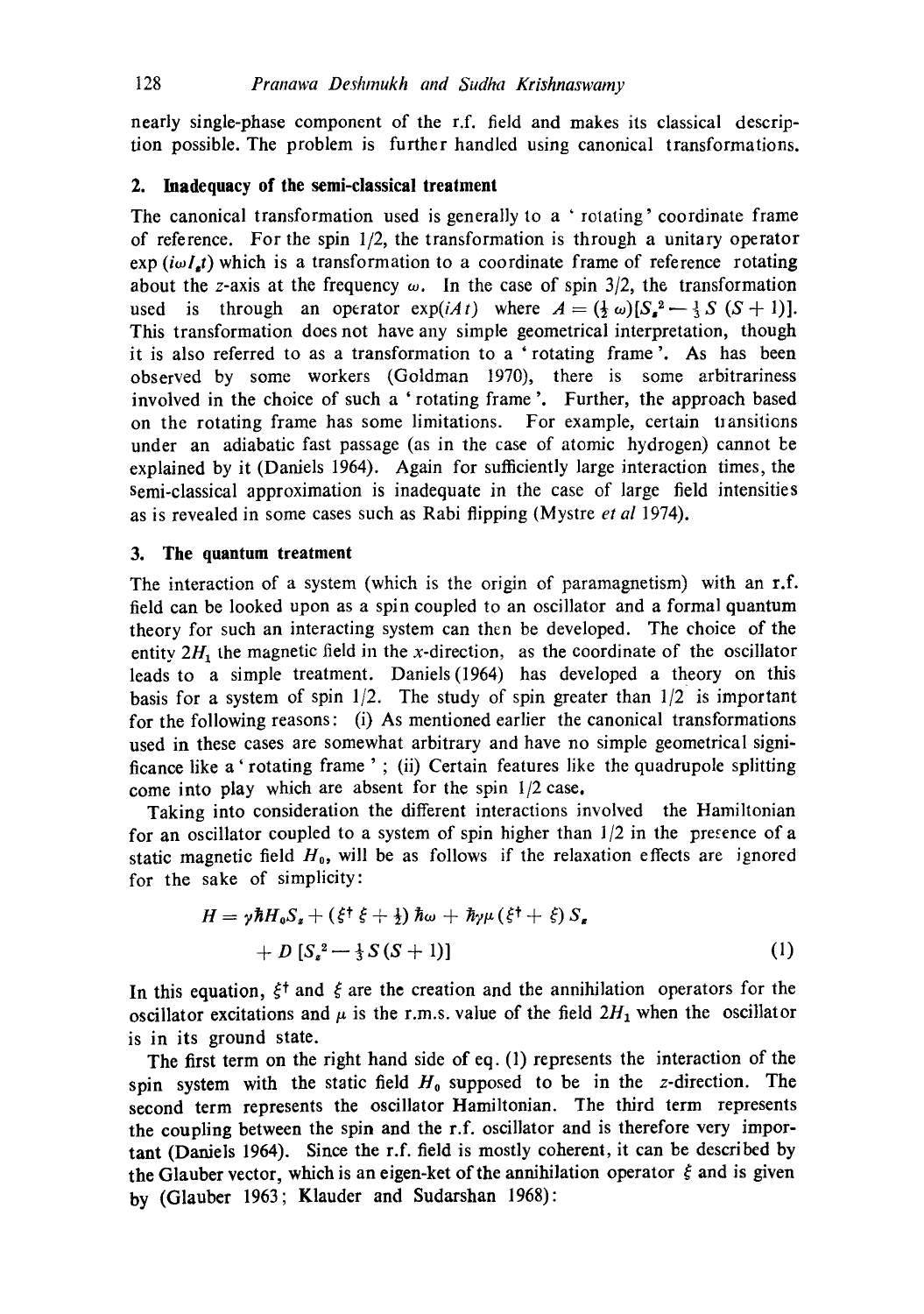nearly single-phase component of the r.f. field and makes its classical description possible. The problem is further handled using canonical transformations.

#### **2. Inadequacy of the semi-classical treatment**

The canonical transformation used is generally to a ' rotating' coordinate frame of reference. For the spin 1/2, the transformation is through a unitary operator exp  $(i\omega Lt)$  which is a transformation to a coordinate frame of reference rotating about the z-axis at the frequency  $\omega$ . In the case of spin 3/2, the transformation used is through an operator  $exp(iAt)$  where  $A = (\frac{1}{2} \omega) [S_{\alpha}^2 - \frac{1}{3} S (S + 1)].$ This transformation does not have any simple geometrical interpretation, though it is also referred to as a transformation to a 'rotating frame'. As has been observed by some workers (Goldman 1970), there is some arbitrariness involved in the choice of such a ' rotating frame '. Further, the approach based on the rotating frame has some limitations. For example, certain transitions under an adiabatic fast passage (as in the case of atomic hydrogen) cannot be explained by it (Daniels 1964). Again for sufficiently large interaction times, the Semi-classical approximation is inadequate in the case of large field intensities as is revealed in some cases such as Rabi flipping (Mystre *et al* 1974).

### **3. The quantum treatment**

The interaction of a system (which is the origin of paramagnetism) with an r.f. field can be looked upon as a spin coupled to an oscillator and a formal quantum theory for such an interacting system can then be developed. The choice of the entity  $2H_1$  the magnetic field in the x-direction, as the coordinate of the oscillator leads to a simple treatment. Daniels(1964) has developed a theory on this basis for a system of spin  $1/2$ . The study of spin greater than  $1/2$  is important for the following reasons: (i) As mentioned earlier the canonical transformations used in these cases are somewhat arbitrary and have no simple geometrical significance like a ' rotating frame '; (ii) Certain features like the quadrupole splitting come into play which are absent for the spin 1/2 case.

Taking into consideration the different interactions involved the Hamiltonian for an oscillator coupled to a system of spin higher than  $1/2$  in the presence of a static magnetic field  $H_0$ , will be as follows if the relaxation effects are ignored for the sake of simplicity:

$$
H = \gamma \hbar H_0 S_s + (\xi^{\dagger} \xi + \frac{1}{2}) \hbar \omega + \hbar \gamma \mu (\xi^{\dagger} + \xi) S_s
$$
  
+ 
$$
D [S_s^2 - \frac{1}{3} S (S+1)]
$$
 (1)

In this equation,  $\xi^{\dagger}$  and  $\xi$  are the creation and the annihilation operators for the oscillator excitations and  $\mu$  is the r.m.s. value of the field  $2H_1$  when the oscillator **is** in its ground state.

**The** first term on the right hand side of eq. (1) represents the interaction of the spin system with the static field  $H_0$  supposed to be in the z-direction. The second term represents the oscillator Hamiltonian. The third term represents the coupling between the spin and the r.f. oscillator and is therefore very important (Daniels 1964). Since the r.f. field is mostly coherent, it can be described by the Glauber vector, which is an eigen-ket of the annihilation operator  $\zeta$  and is given by (Glauber 1963; Klauder and Sudarshan 1968):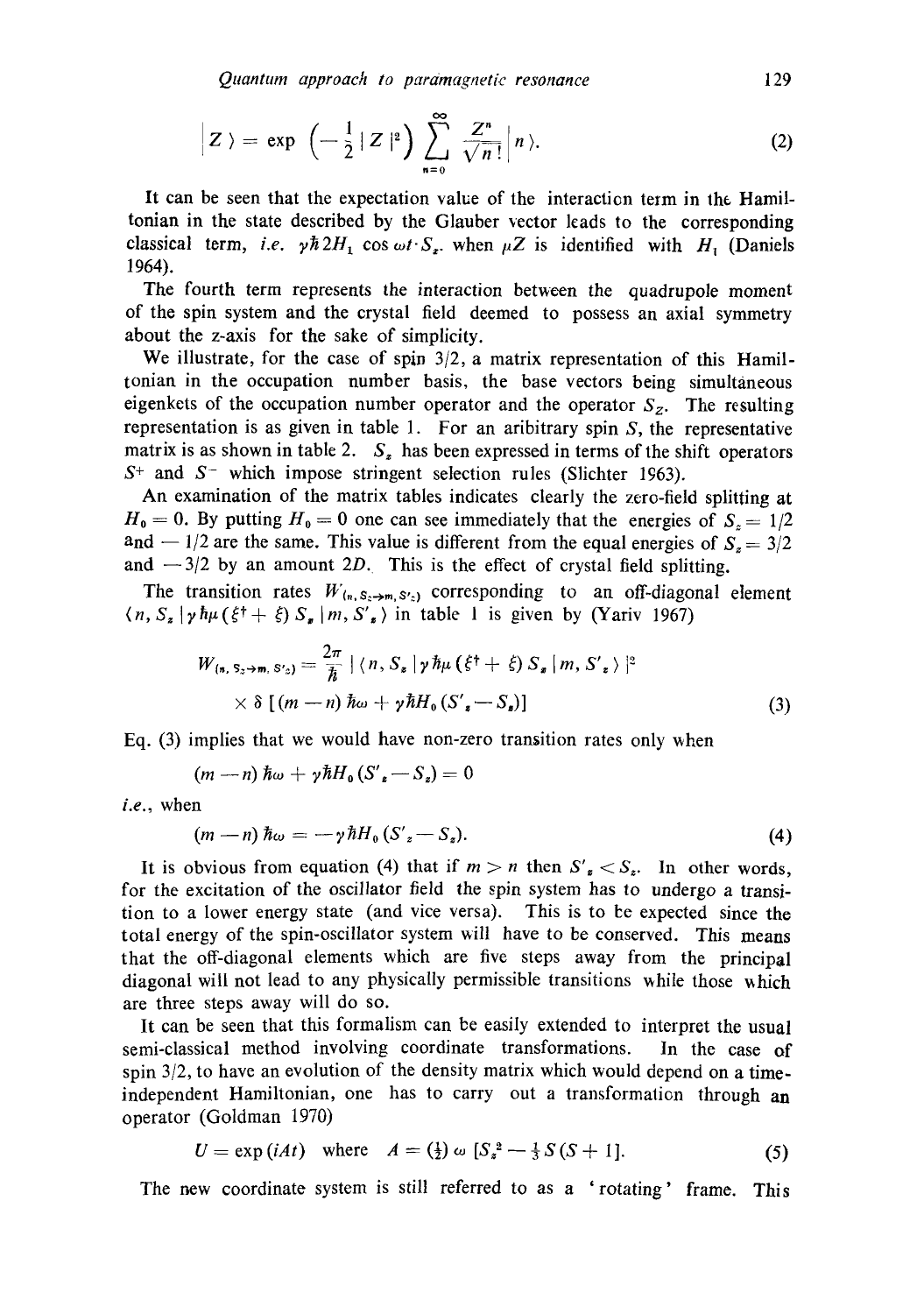$$
\left| Z \right\rangle = \exp \left( - \frac{1}{2} |Z|^2 \right) \sum_{n=0}^{\infty} \frac{Z^n}{\sqrt{n}!} \left| n \right\rangle.
$$
 (2)

It can be seen that the expectation value of the interaction term in the. Hamiltonian in the state described by the Glauber vector leads to the corresponding classical term, *i.e.*  $\gamma \hbar 2H_1$  cos  $\omega t \cdot S_2$ , when  $\mu Z$  is identified with  $H_1$  (Daniels 1964).

The fourth term represents the interaction between the quadrupole moment of the spin system and the crystal field deemed to possess an axial symmetry about the z-axis for the sake of simplicity.

We illustrate, for the case of spin 3/2, a matrix representation of this Hamiltonian in the occupation number basis, the base vectors being simultaneous eigenkets of the occupation number operator and the operator  $S_z$ . The resulting representation is as given in table 1. For an aribitrary spin S, the representative matrix is as shown in table 2.  $S<sub>z</sub>$  has been expressed in terms of the shift operators  $S<sup>+</sup>$  and  $S<sup>-</sup>$  which impose stringent selection rules (Slichter 1963).

An examination of the matrix tables indicates clearly the zero-field splitting at  $H_0 = 0$ . By putting  $H_0 = 0$  one can see immediately that the energies of  $S_0 = 1/2$ and  $-1/2$  are the same. This value is different from the equal energies of  $S_8 = 3/2$ and  $-3/2$  by an amount 2D. This is the effect of crystal field splitting.

The transition rates  $W_{(n, S_n \to m, S_n')}$  corresponding to an off-diagonal element  $(n, S_z | \gamma \hbar \mu (\xi^{\dagger} + \xi) S_z | m, S'_z)$  in table 1 is given by (Yariv 1967)

$$
W_{(n, S_2 \to m, S'_2)} = \frac{2\pi}{\hbar} \left[ \langle n, S_s | \gamma \hbar \mu (\xi^{\dagger} + \xi) S_s | m, S'_s \rangle \right]^2
$$
  
 
$$
\times \delta \left[ (m - n) \hbar \omega + \gamma \hbar H_0 (S'_s - S_s) \right]
$$
 (3)

Eq.  $(3)$  implies that we would have non-zero transition rates only when

 $(m - n) \hbar \omega + \gamma \hbar H_0 (S'_z - S_z) = 0$ 

*i.e.,* when

$$
(m-n)\hbar\omega=-\gamma\hbar H_{0}(S'_{z}-S_{z}).
$$
\n(4)

It is obvious from equation (4) that if  $m > n$  then  $S'_z < S_z$ . In other words, for the excitation of the oscillator field the spin system has to undergo a transition to a lower energy state (and vice versa). This is to be expected since the total energy of the spin-oscillator system will have to be conserved. This means that the off-diagonal elements which are five steps away from the principal diagonal will not lead to any physically permissible transitions while those which are three steps away will do so.

It can be seen that this formalism can be easily extended to interpret the usual semi-classical method involving coordinate transformations. In the case of spin  $3/2$ , to have an evolution of the density matrix which would depend on a timeindependent Hamiltonian, one has to carry out a transformation through an operator (Goldman 1970)

$$
U = \exp(iAt) \quad \text{where} \quad A = \left(\frac{1}{2}\right)\omega\left[S_{*}^{2} - \frac{1}{3}S(S+1)\right].\tag{5}
$$

The new coordinate system is still referred to as a 'rotating' frame. This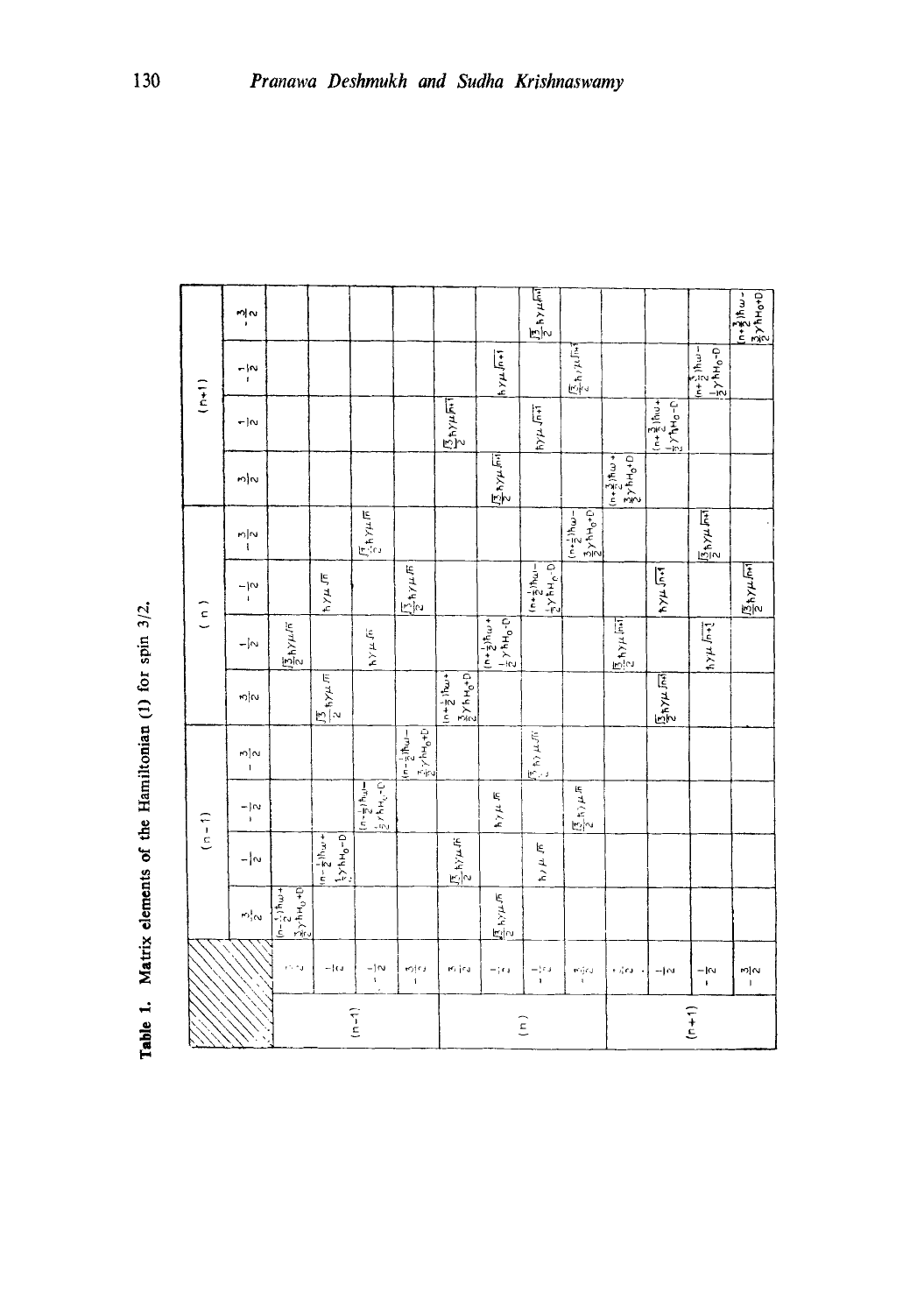|                    | nļ∾                 |                                                      |                                                                  |                                                                |                                                                           |                                                                                                 |                                                                          | $\frac{\sqrt{7}}{2}$ hy $\mu$ F                                    |                                                                                                    |                                                                                             |                                      |                                          | $\frac{1}{2}$ , $\frac{3}{2}$ ) h $\omega$ .<br>$\frac{3}{2}$ > 1 h o+[                           |
|--------------------|---------------------|------------------------------------------------------|------------------------------------------------------------------|----------------------------------------------------------------|---------------------------------------------------------------------------|-------------------------------------------------------------------------------------------------|--------------------------------------------------------------------------|--------------------------------------------------------------------|----------------------------------------------------------------------------------------------------|---------------------------------------------------------------------------------------------|--------------------------------------|------------------------------------------|---------------------------------------------------------------------------------------------------|
| $\frac{1}{2}$      | $\frac{1}{1}$       |                                                      |                                                                  |                                                                |                                                                           |                                                                                                 | $h \times \mu \sqrt{n+1}$                                                |                                                                    | $\frac{\sqrt{7}}{2}h/k\sqrt{h}$                                                                    |                                                                                             |                                      | $\frac{1}{2}y + \frac{5}{2}y + c - 0$    |                                                                                                   |
|                    | $-1$ N              |                                                      |                                                                  |                                                                |                                                                           | $\frac{\sqrt{2} + \gamma \mu \pi T}{2}$                                                         |                                                                          | $\left  \frac{1}{2} \right $                                       |                                                                                                    |                                                                                             | $\frac{1}{2}$ $\frac{3}{2}$ ) hw +   |                                          |                                                                                                   |
|                    | $m _{\mathcal{D}}$  |                                                      |                                                                  |                                                                |                                                                           |                                                                                                 | $\frac{1}{2}$ $\frac{1}{2}$ $\frac{1}{2}$                                |                                                                    |                                                                                                    | $\left(\frac{n+\frac{3}{2}}{2}\right)$ $\frac{n}{2}$ $\left(\frac{n+\frac{3}{2}}{2}\right)$ |                                      |                                          |                                                                                                   |
|                    | $\frac{1}{2}$       |                                                      |                                                                  | $\frac{\sqrt{\pi}}{2} \hbar \gamma \mu \sqrt{\pi}$             |                                                                           |                                                                                                 |                                                                          |                                                                    | $\frac{3}{2}$ $\times$ $\frac{3}{2}$ $\times$ $\frac{1}{2}$<br>$(m + \frac{1}{2})$ th <sub>u</sub> |                                                                                             |                                      | $\frac{\sqrt{2}}{2}h\gamma\mu\sqrt{h+1}$ |                                                                                                   |
| $\left( n \right)$ | $\frac{1}{1}$       |                                                      | $\frac{1}{2}$                                                    |                                                                | $\sqrt{\frac{1}{2}}$ h/ $\mu$ $\overline{n}$                              |                                                                                                 |                                                                          | $\frac{1}{2} \times h + \frac{1}{2} \times p$                      |                                                                                                    |                                                                                             | $ h \times \mu \sqrt{n+1}$           |                                          | $\frac{\sqrt{2}}{2} \mathbf{1} \mathbf{1} \mathbf{1} \mathbf{1} \mathbf{1} \mathbf{1} \mathbf{1}$ |
|                    | $- \sim$            | $\frac{15}{2}h$ Y $\mu$ /F                           |                                                                  | $4 \times 4$                                                   |                                                                           |                                                                                                 | $+ m_{\frac{1}{2} + u}$<br>$\left \frac{1}{2}\gamma hH_0 \cdot p\right $ |                                                                    |                                                                                                    | $\frac{15}{2}$ h y $\mu$ lm                                                                 |                                      | $ h \times \mu \sqrt{n+1}$               |                                                                                                   |
|                    | $\frac{1}{2}$       |                                                      | $\frac{1}{2}$ type $\pi$                                         |                                                                |                                                                           | $1 + \frac{1}{2}$ $\ln \omega +$<br>$\frac{3}{2}$ $\times$ $\frac{1}{2}$ $\times$ $\frac{1}{2}$ |                                                                          |                                                                    |                                                                                                    |                                                                                             | $\frac{\sqrt{12}}{2} \pm \sqrt{100}$ |                                          |                                                                                                   |
|                    | က $\frac{1}{1}$     |                                                      |                                                                  |                                                                | $\left[\frac{3}{2}\gamma hH_0+D\right]$<br>$(n-\frac{1}{2})\hbar\omega$ - |                                                                                                 |                                                                          | $\sqrt{\frac{\pi}{2}}$ to $\mu$ or $\left $                        |                                                                                                    |                                                                                             |                                      |                                          |                                                                                                   |
| $(1 - 1)$          | $\frac{1}{1}$       |                                                      |                                                                  | $\left( n-\frac{1}{2},n\frac{1}{2},n\frac{1}{2},\ldots\right)$ |                                                                           |                                                                                                 | $h \gamma \mu \sqrt{n}$                                                  |                                                                    | $\frac{\left \overline{\beta_{1}}\left(t\right)\mu\right ^{2}}{2}$                                 |                                                                                             |                                      |                                          |                                                                                                   |
|                    | $- \omega $         |                                                      | $+\pi + \frac{1}{2}$<br>$\left  \frac{1}{2} y h H_0 - D \right $ |                                                                |                                                                           | $\frac{\sqrt{7}}{2}$ h $\gamma \mu$ fr                                                          |                                                                          |                                                                    |                                                                                                    |                                                                                             |                                      |                                          |                                                                                                   |
|                    | $\omega_i^{\rm in}$ | $\frac{1}{2} \left[ \frac{1}{2} \frac{1}{2} \right]$ |                                                                  |                                                                |                                                                           |                                                                                                 | $\frac{\sqrt{3}}{2}$ hy $\mu$ $\pi$                                      |                                                                    |                                                                                                    |                                                                                             |                                      |                                          |                                                                                                   |
|                    |                     | in ru                                                | $-10$                                                            | $\frac{-1}{4}$                                                 | rojna<br>Ti                                                               | ey jeu                                                                                          | $-\frac{1}{2}$ r $\pm$                                                   | –¦rs<br>∩                                                          | Kijoj<br>Li                                                                                        | + i¦ra                                                                                      | $-10$                                | $-1$ rv<br>$\pmb{\mathfrak{t}}$          | $\frac{1}{2}$                                                                                     |
|                    |                     |                                                      |                                                                  | $(1 - 1)$                                                      |                                                                           |                                                                                                 |                                                                          | $\left( \begin{array}{c} \text{r} \\ \text{r} \end{array} \right)$ |                                                                                                    |                                                                                             |                                      | $\begin{pmatrix} 1 \\ -1 \end{pmatrix}$  |                                                                                                   |

| 3/2.          |
|---------------|
| spin          |
| ίoτ           |
| ÷             |
| Hamiltonia    |
| å             |
| .<br>ŏ        |
| lement        |
| <b>Jatriy</b> |
|               |
| -<br>1        |

ভ

Ţ

٦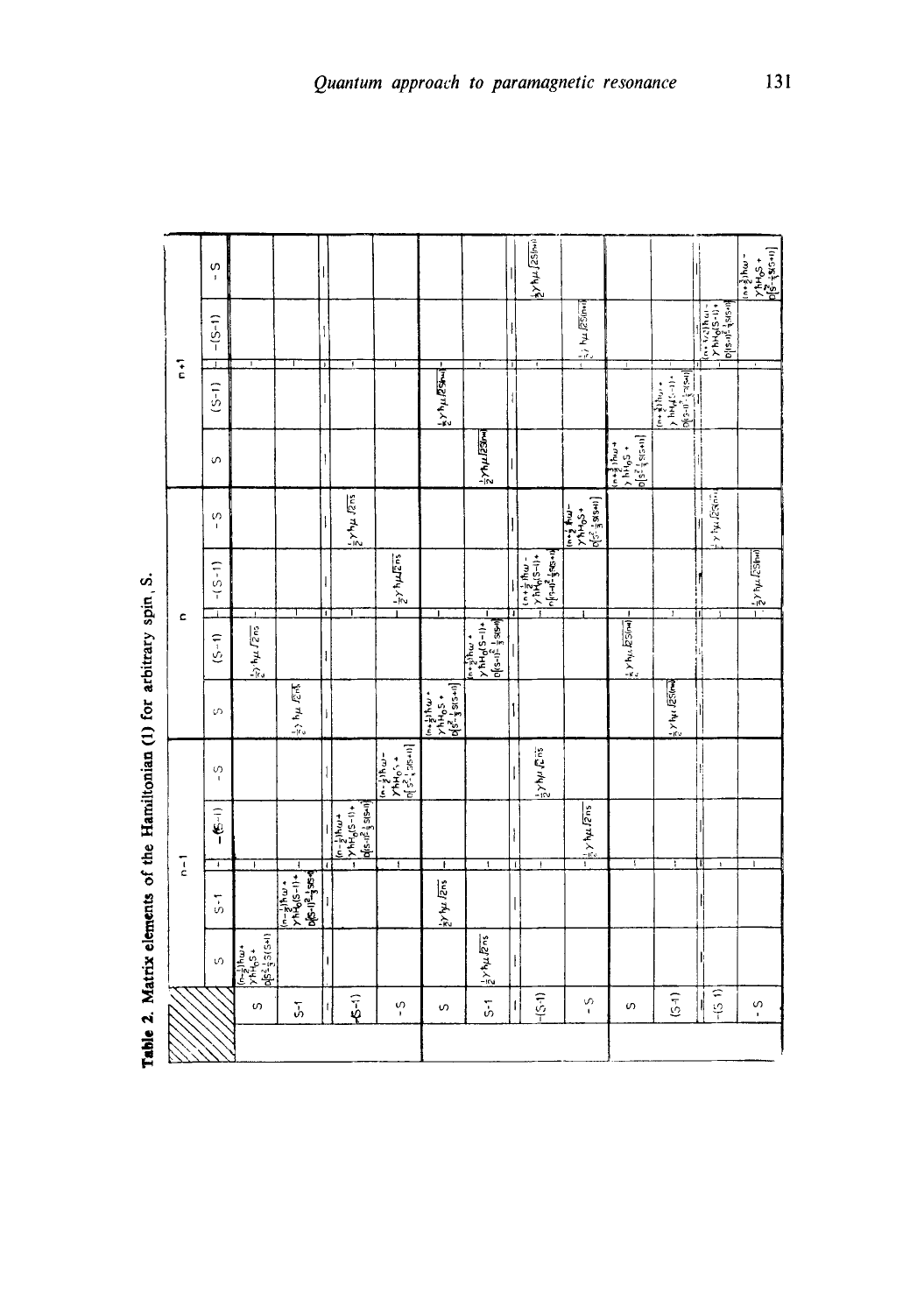|               | S<br>$\mathbf{I}$  |                                                                                                                                                                                                                                                                                                                                                                                              |                                                                                               |                    |                                                                                                        |                                                                    |                                                                                                                                                                                                                                                                    |                                                                                                                                                                                            |                               | $\frac{1}{2}$ yh $\mu$ [25/mi                                                                                                                                                                                                                                                                                                                                                                                                                                    |                                                                                                                                                                        |                              |                                                                                                                                                                                                                                                                                                                                                |                                                                                                                                                                                                                                                                                                                                                                                                                                                                                            | $\frac{1}{2}$ $\frac{1}{2}$ $\frac{1}{2}$ $\frac{1}{2}$ $\frac{1}{2}$ $\frac{1}{2}$ $\frac{1}{2}$ $\frac{1}{2}$ $\frac{1}{2}$ $\frac{1}{2}$ $\frac{1}{2}$ $\frac{1}{2}$ $\frac{1}{2}$ $\frac{1}{2}$ $\frac{1}{2}$ $\frac{1}{2}$ $\frac{1}{2}$ $\frac{1}{2}$ $\frac{1}{2}$ $\frac{1}{2}$ $\frac{1}{2}$ $\frac{1}{2}$<br>$\frac{3}{2}$ )hw - |
|---------------|--------------------|----------------------------------------------------------------------------------------------------------------------------------------------------------------------------------------------------------------------------------------------------------------------------------------------------------------------------------------------------------------------------------------------|-----------------------------------------------------------------------------------------------|--------------------|--------------------------------------------------------------------------------------------------------|--------------------------------------------------------------------|--------------------------------------------------------------------------------------------------------------------------------------------------------------------------------------------------------------------------------------------------------------------|--------------------------------------------------------------------------------------------------------------------------------------------------------------------------------------------|-------------------------------|------------------------------------------------------------------------------------------------------------------------------------------------------------------------------------------------------------------------------------------------------------------------------------------------------------------------------------------------------------------------------------------------------------------------------------------------------------------|------------------------------------------------------------------------------------------------------------------------------------------------------------------------|------------------------------|------------------------------------------------------------------------------------------------------------------------------------------------------------------------------------------------------------------------------------------------------------------------------------------------------------------------------------------------|--------------------------------------------------------------------------------------------------------------------------------------------------------------------------------------------------------------------------------------------------------------------------------------------------------------------------------------------------------------------------------------------------------------------------------------------------------------------------------------------|--------------------------------------------------------------------------------------------------------------------------------------------------------------------------------------------------------------------------------------------------------------------------------------------------------------------------------------------|
|               | $-(5-1)$           |                                                                                                                                                                                                                                                                                                                                                                                              |                                                                                               |                    |                                                                                                        |                                                                    |                                                                                                                                                                                                                                                                    |                                                                                                                                                                                            |                               |                                                                                                                                                                                                                                                                                                                                                                                                                                                                  | $\frac{1}{2}$ is the RS(mail                                                                                                                                           |                              |                                                                                                                                                                                                                                                                                                                                                | $\begin{bmatrix} \n\begin{array}{c}\n\begin{array}{c}\n\sqrt{3} \\ \sqrt{3} \\ \sqrt{3}\n\end{array} \\ \end{bmatrix} & \begin{array}{c}\n\begin{array}{c}\n\sqrt{3} \\ \sqrt{3} \\ \sqrt{3} \\ \sqrt{3} \\ \sqrt{3}\n\end{array} \\ \end{bmatrix} & \begin{array}{c}\n\begin{array}{c}\n\sqrt{3} \\ \sqrt{3} \\ \sqrt{3} \\ \sqrt{3}\n\end{array} \\ \end{array} & \begin{array}{c}\n\begin{array}{c}\n\sqrt{3} \\ \sqrt{3} \\ \sqrt{3} \\ \sqrt{3}\n\end{array} \\ \end{array} & \begin$ |                                                                                                                                                                                                                                                                                                                                            |
| $\frac{1}{6}$ | I<br>$(5-1)$       | Ŧ                                                                                                                                                                                                                                                                                                                                                                                            |                                                                                               | J                  | T                                                                                                      |                                                                    | $\blacksquare$<br>$\frac{1}{2}y^{\dagger} \mu B$                                                                                                                                                                                                                   | $\bullet$                                                                                                                                                                                  | ŀΤ                            | $\mathbf{r}$                                                                                                                                                                                                                                                                                                                                                                                                                                                     |                                                                                                                                                                        |                              | $\begin{bmatrix} (n+\frac{3}{2})h_{12} & , \\ 2h_{12} & h_{13} & \\ 2h_{13} & h_{12} & \\ 2h_{13} & h_{13} & \\ 2h_{12} & h_{13} & \\ 2h_{13} & h_{13} & \\ 2h_{13} & h_{13} & \\ 2h_{13} & h_{13} & \\ 2h_{13} & h_{13} & \\ 2h_{13} & h_{13} & \\ 2h_{13} & h_{13} & \\ 2h_{13} & h_{13} & \\ 2h_{13} & h_{13} & \\ 2h_{13} & h_{13} & \\ 2$ |                                                                                                                                                                                                                                                                                                                                                                                                                                                                                            |                                                                                                                                                                                                                                                                                                                                            |
|               | S                  |                                                                                                                                                                                                                                                                                                                                                                                              |                                                                                               |                    |                                                                                                        |                                                                    |                                                                                                                                                                                                                                                                    | $\frac{1}{2}$                                                                                                                                                                              |                               |                                                                                                                                                                                                                                                                                                                                                                                                                                                                  |                                                                                                                                                                        | $b[s^2]$ s(s+n)<br>$+5044$   |                                                                                                                                                                                                                                                                                                                                                |                                                                                                                                                                                                                                                                                                                                                                                                                                                                                            |                                                                                                                                                                                                                                                                                                                                            |
|               | S.<br>$\mathbf{I}$ |                                                                                                                                                                                                                                                                                                                                                                                              |                                                                                               |                    | $\frac{1}{2}$ yhu $\sqrt{2\pi s}$                                                                      |                                                                    |                                                                                                                                                                                                                                                                    |                                                                                                                                                                                            |                               |                                                                                                                                                                                                                                                                                                                                                                                                                                                                  | $\frac{1}{2}$<br>$\frac{1}{2}$<br>$\frac{1}{2}$<br>$\frac{1}{2}$<br>$\frac{1}{2}$<br>$\frac{1}{2}$<br>$\frac{1}{2}$<br>$\frac{1}{2}$<br>$\frac{1}{2}$<br>$\frac{1}{2}$ |                              |                                                                                                                                                                                                                                                                                                                                                | y hu Distor<br>ı                                                                                                                                                                                                                                                                                                                                                                                                                                                                           |                                                                                                                                                                                                                                                                                                                                            |
|               | $-5 - 1)$          |                                                                                                                                                                                                                                                                                                                                                                                              |                                                                                               |                    |                                                                                                        | $\frac{1}{2}$ /h $\mu$ Izns                                        |                                                                                                                                                                                                                                                                    |                                                                                                                                                                                            |                               | $\left\{ \begin{array}{ll} \hspace{-0.2cm} \left[ \begin{array}{c} 1 + 2 \Delta \frac{1}{2} \end{array} \right] \hspace{-0.2cm} & \textrm{if} \hspace{-0.2cm} \left[ \begin{array}{c} 1 + 2 \Delta \end{array} \right] \hspace{-0.2cm} & \textrm{if} \hspace{-0.2cm} \left[ \begin{array}{c} 1 + 2 \Delta \end{array} \right] \hspace{-0.2cm} & \textrm{if} \hspace{-0.2cm} \left[ \begin{array}{c} 1 + 2 \Delta \end{array} \right] \hspace{-0.2cm} & \textrm{$ |                                                                                                                                                                        |                              |                                                                                                                                                                                                                                                                                                                                                |                                                                                                                                                                                                                                                                                                                                                                                                                                                                                            | $\frac{1}{2}$ y hu (250m)                                                                                                                                                                                                                                                                                                                  |
| c             | $(5 - 1)$          | $\frac{1}{2} \gamma^4 \gamma \mu \sqrt{2} \pi_5$                                                                                                                                                                                                                                                                                                                                             |                                                                                               | D.<br>ł            | T                                                                                                      |                                                                    |                                                                                                                                                                                                                                                                    | ſ<br>$\left[\begin{array}{c} \sqrt{1+\frac{1}{2}} & \sqrt{1+\frac{1}{2}} \\ \sqrt{1+\frac{1}{2}} & \sqrt{1+\frac{1}{2}} \\ \sqrt{1+\frac{1}{2}} & \sqrt{1+\frac{1}{2}} \end{array}\right]$ |                               |                                                                                                                                                                                                                                                                                                                                                                                                                                                                  |                                                                                                                                                                        | $\frac{1}{2}$ x hy. $E$ S(m) | h                                                                                                                                                                                                                                                                                                                                              | Π                                                                                                                                                                                                                                                                                                                                                                                                                                                                                          |                                                                                                                                                                                                                                                                                                                                            |
|               | S,                 |                                                                                                                                                                                                                                                                                                                                                                                              | $\frac{1}{2}$ ) hu $\sqrt{2\pi}$                                                              | $\pmb{\mathsf{l}}$ |                                                                                                        |                                                                    | $\left.\begin{array}{c} \sum\limits_{i=1}^{n+1}p_{i}^{2} \left( 1-\frac{1}{2}p_{i}^{2} \right) \\ \sum\limits_{i=1}^{n}p_{i}^{2} \left( 1-\frac{1}{2}p_{i}^{2} \right) \\ \sum\limits_{i=1}^{n}p_{i}^{2} \left( 1-\frac{1}{2}p_{i}^{2} \right) \end{array}\right $ |                                                                                                                                                                                            |                               |                                                                                                                                                                                                                                                                                                                                                                                                                                                                  |                                                                                                                                                                        |                              | s xhu J251mm                                                                                                                                                                                                                                                                                                                                   |                                                                                                                                                                                                                                                                                                                                                                                                                                                                                            |                                                                                                                                                                                                                                                                                                                                            |
|               | S<br>$\mathbf I$   |                                                                                                                                                                                                                                                                                                                                                                                              |                                                                                               |                    |                                                                                                        | $\left[\frac{(n-1)\hbar\omega-}{\gamma^2\hbar\mu_0\zeta+} \right]$ |                                                                                                                                                                                                                                                                    |                                                                                                                                                                                            |                               | $\frac{1}{2}$ yhu Cris                                                                                                                                                                                                                                                                                                                                                                                                                                           |                                                                                                                                                                        |                              |                                                                                                                                                                                                                                                                                                                                                | F,                                                                                                                                                                                                                                                                                                                                                                                                                                                                                         |                                                                                                                                                                                                                                                                                                                                            |
|               | $-6 - 1$<br>Ŧ      |                                                                                                                                                                                                                                                                                                                                                                                              |                                                                                               |                    | $\begin{cases} (1-5)^5 + (1-5)^5 + (1-5)^5 \\ + (1-5)^5 + (1-5)^5 \end{cases}$<br>$\ddot{\phantom{1}}$ |                                                                    |                                                                                                                                                                                                                                                                    | ī                                                                                                                                                                                          |                               |                                                                                                                                                                                                                                                                                                                                                                                                                                                                  | $\frac{1}{2}$ y hu $12 \text{ns}$<br>Ŧ                                                                                                                                 | Ŧ                            | Ŧ                                                                                                                                                                                                                                                                                                                                              | Π<br>$\mathbf{t}$                                                                                                                                                                                                                                                                                                                                                                                                                                                                          | $\mathbf{l}$                                                                                                                                                                                                                                                                                                                               |
| $\frac{1}{6}$ | $\frac{1}{2}$      | Ŧ                                                                                                                                                                                                                                                                                                                                                                                            | ŧ<br>$\begin{bmatrix} -2 & 1 & -8 \ 1 & 1 & 1 \end{bmatrix}$<br><b>pls-11<sup>2</sup></b> ss4 |                    |                                                                                                        | ŧ                                                                  | $\frac{1}{2}y$ by $I_{2ns}$                                                                                                                                                                                                                                        |                                                                                                                                                                                            | $\mathbf{r}$<br>$\vert \vert$ | ŧ                                                                                                                                                                                                                                                                                                                                                                                                                                                                |                                                                                                                                                                        |                              |                                                                                                                                                                                                                                                                                                                                                |                                                                                                                                                                                                                                                                                                                                                                                                                                                                                            |                                                                                                                                                                                                                                                                                                                                            |
|               | S,                 | $\frac{1}{2} \frac{1}{2} \frac{1}{2} \frac{1}{2} \frac{1}{2} \frac{1}{2} \frac{1}{2} \frac{1}{2} \frac{1}{2} \frac{1}{2} \frac{1}{2} \frac{1}{2} \frac{1}{2} \frac{1}{2} \frac{1}{2} \frac{1}{2} \frac{1}{2} \frac{1}{2} \frac{1}{2} \frac{1}{2} \frac{1}{2} \frac{1}{2} \frac{1}{2} \frac{1}{2} \frac{1}{2} \frac{1}{2} \frac{1}{2} \frac{1}{2} \frac{1}{2} \frac{1}{2} \frac{1}{2} \frac{$ |                                                                                               |                    |                                                                                                        |                                                                    |                                                                                                                                                                                                                                                                    | $\frac{1}{2}$ / hu Rns                                                                                                                                                                     | $\mathbf{I}$                  |                                                                                                                                                                                                                                                                                                                                                                                                                                                                  |                                                                                                                                                                        |                              |                                                                                                                                                                                                                                                                                                                                                |                                                                                                                                                                                                                                                                                                                                                                                                                                                                                            |                                                                                                                                                                                                                                                                                                                                            |
|               |                    | $\omega$                                                                                                                                                                                                                                                                                                                                                                                     | 5                                                                                             | H                  | $\frac{1}{2}$                                                                                          | $\frac{1}{2}$                                                      | S                                                                                                                                                                                                                                                                  | $\frac{1}{5}$                                                                                                                                                                              | 계                             | $-5-1$                                                                                                                                                                                                                                                                                                                                                                                                                                                           | S,<br>$\blacksquare$                                                                                                                                                   | $\omega$                     | $\overline{5}$                                                                                                                                                                                                                                                                                                                                 | $-51$<br>ł                                                                                                                                                                                                                                                                                                                                                                                                                                                                                 | S<br>$\blacksquare$                                                                                                                                                                                                                                                                                                                        |
|               |                    |                                                                                                                                                                                                                                                                                                                                                                                              |                                                                                               |                    |                                                                                                        |                                                                    |                                                                                                                                                                                                                                                                    |                                                                                                                                                                                            |                               |                                                                                                                                                                                                                                                                                                                                                                                                                                                                  |                                                                                                                                                                        |                              |                                                                                                                                                                                                                                                                                                                                                |                                                                                                                                                                                                                                                                                                                                                                                                                                                                                            |                                                                                                                                                                                                                                                                                                                                            |

Table 2. Matrix elements of the Hamiltonian (1) for arbitrary spin, S. **Table 2. Matrix elements of the Hamiltonian (1) for arbitrary spin, S.**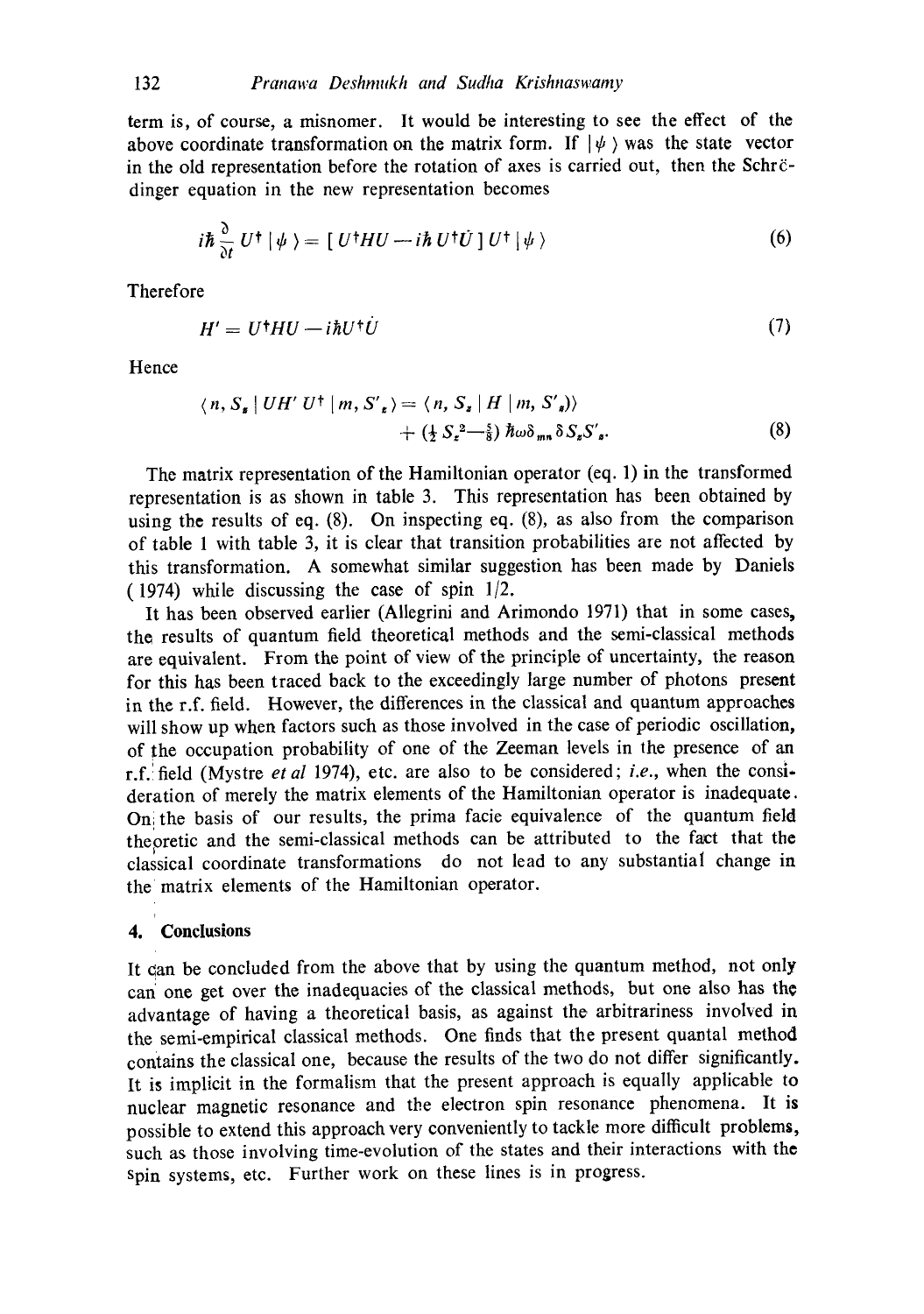term is, of course, a misnomer. It would be interesting to see the effect of the above coordinate transformation on the matrix form. If  $|\psi\rangle$  was the state vector in the old representation before the rotation of axes is carried out, then the Schr $\ddot{c}$ dinger equation in the new representation becomes

$$
i\hbar \frac{\partial}{\partial t} U^{\dagger} | \psi \rangle = [ U^{\dagger} H U - i\hbar U^{\dagger} \dot{U} ] U^{\dagger} | \psi \rangle \tag{6}
$$

**Therefore** 

$$
H' = U^{\dagger}HU - i\hbar U^{\dagger}U \tag{7}
$$

Hence

$$
\langle n, S_{s} | U H' U^{\dagger} | m, S'_{s} \rangle = \langle n, S_{s} | H | m, S'_{s} \rangle
$$
  
+ 
$$
(\frac{1}{2} S_{s}^{2} - \frac{5}{8}) \hbar \omega \delta_{mn} \delta S_{s} S'_{s}.
$$
 (8)

The matrix representation of the Hamiltonian operator (eq. 1) in the transformed representation is as shown in table 3. This representation has been obtained by using the results of eq. (8). On inspecting eq. (8), as also from the comparison of table 1 with table 3, it is clear that transition probabilities are not affected by this transformation. A somewhat similar suggestion has been made by Daniels (1974) while discussing the case of spin 1/2.

It has been observed earlier (Allegrini and Arimondo 1971) that in some cases, the results of quantum field theoretical methods and the semi-classical methods are equivalent. From the point of view of the principle of uncertainty, the reason for this has been traced back to the exceedingly large number of photons present in the r.f. field. However, the differences in the classical and quantum approaches will show up when factors such as those involved in the case of periodic oscillation, of the occupation probability of one of the Zeeman levels in the presence of an r.f.! field (Mystre *et al* 1974), etc. are also to be considered; *i.e.,* when the consideration of merely the matrix elements of the Hamiltonian operator is inadequate. Oni the basis of our results, the prima facie equivalence of the quantum field thepretic and the semi-classical methods can be attributed to the fact that the classical coordinate transformations do not lead to any substantial change in the matrix elements of the Hamiltonian operator.

### **4. 'Conclusions**

It Can be concluded from the above that by using the quantum method, not only cari one get over the inadequacies of the classical methods, but one also has the advantage of having a theoretical basis, as against the arbitrariness involved in the semi-empirical classical methods. One finds that the present quantal method contains the classical one, because the results of the two do not differ significantly. It is implicit in the formalism that the present approach is equally applicable to nuclear magnetic resonance and the electron spin resonance phenomena. It is possible to extend this approach very conveniently to tackle more difficult problems, such as those involving time-evolution of the states and their interactions with the Spin systems, etc. Further work on these lines is in progress.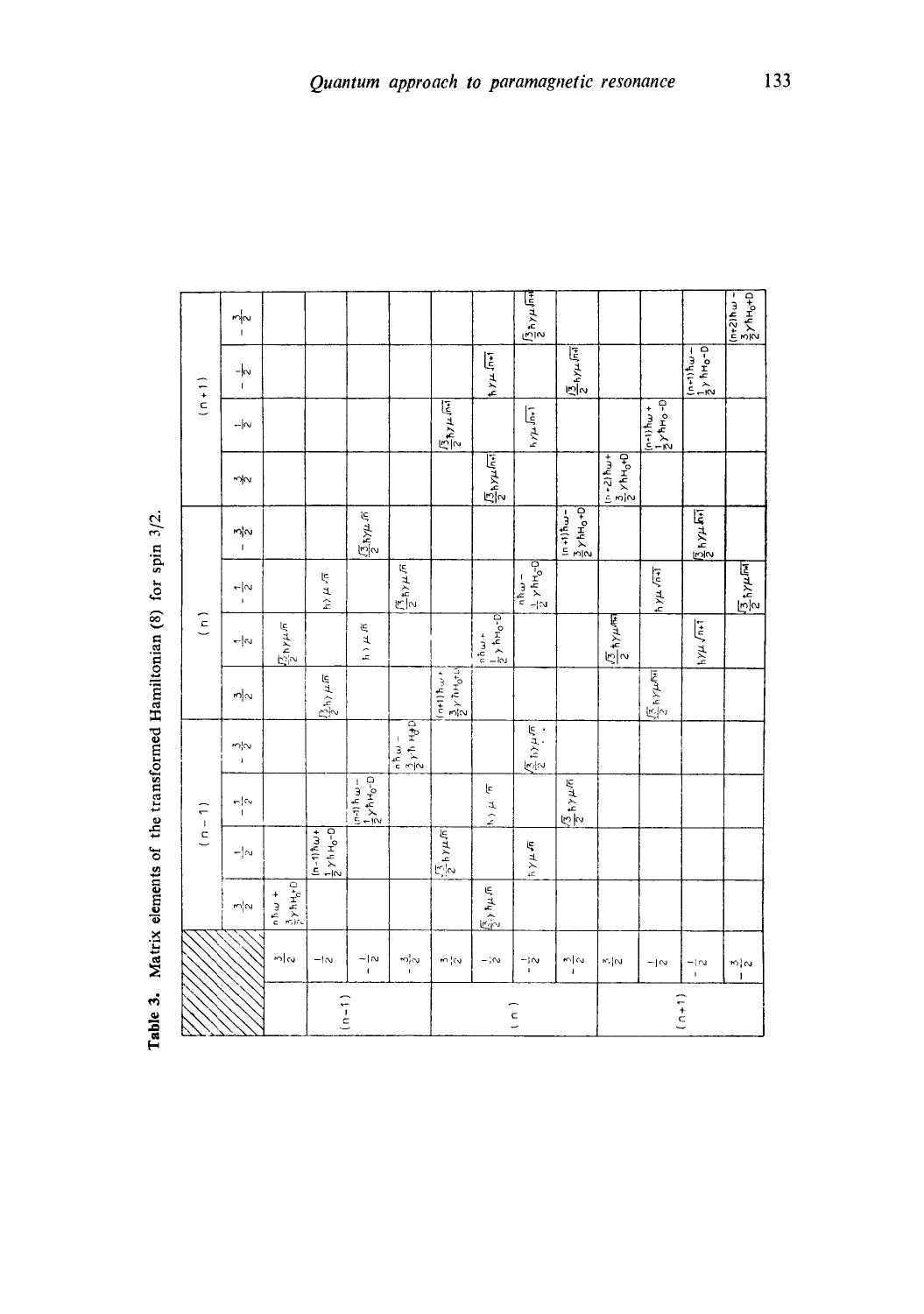| $\frac{1}{2}$<br>mla<br>$\sim$ | $\frac{3}{2}$ $\times$ hH <sub>0</sub> +0   | $\frac{1}{2}$ $\times$ $\frac{1}{2}$ $\times$ $\frac{1}{2}$ $\times$ $\frac{1}{2}$ $\times$ $\frac{1}{2}$ $\times$ $\frac{1}{2}$ $\times$ $\frac{1}{2}$ $\times$ $\frac{1}{2}$ $\times$ $\frac{1}{2}$ $\times$ $\frac{1}{2}$ $\times$ $\frac{1}{2}$ $\times$ $\frac{1}{2}$ $\times$ $\frac{1}{2}$ $\times$ $\frac{1}{2}$ $\times$ $\frac{1}{2}$<br>$\frac{\sqrt{1}}{2} \hbar \gamma \mu \sqrt{\pi}$ | $\frac{1}{2} \times h + \frac{1}{2}$<br>$\epsilon$<br>$\frac{1}{\sqrt{2}}$ | $\begin{array}{c c}\n a & b & a \\ \hline\n\frac{3}{2} & b & b \\ \hline\n\end{array}$<br>$\frac{1}{2}$ | $\left \frac{3}{2}y^{\frac{1}{2}n} + \sigma^{\frac{1}{2}}\right $<br>$\frac{1}{2}h\rightleftarrows\sqrt{n}$<br>$\frac{1}{2}$ | $\frac{\sqrt{7}}{2}$ hyµ $\pi$<br>$y \nleftrightarrow y$<br>$\frac{1}{2}$<br>$ \vert \sim$                                                                                                       | $\frac{(\overline{3})}{2}$ hy $\mu$ $\overline{n}$<br>$\frac{1}{2}$<br>$\frac{1}{\epsilon}$<br>$\left( \begin{array}{c} 1 \end{array} \right)$ | $\frac{\sqrt{3}}{2}$ hyu m<br>η¦Ν<br>$\overline{1}$                    | $\neg N$                                         | $(n + 1)$<br>$\frac{\sqrt{3}}{2}h\gamma\mu\sqrt{m}$<br>$- \infty $                                                                                                                                                                                                                                                                                                                                                                                                | $\frac{1}{1}$                                                                                                                                                     | $-\frac{3}{2}$                                             |
|--------------------------------|---------------------------------------------|-----------------------------------------------------------------------------------------------------------------------------------------------------------------------------------------------------------------------------------------------------------------------------------------------------------------------------------------------------------------------------------------------------|----------------------------------------------------------------------------|---------------------------------------------------------------------------------------------------------|------------------------------------------------------------------------------------------------------------------------------|--------------------------------------------------------------------------------------------------------------------------------------------------------------------------------------------------|------------------------------------------------------------------------------------------------------------------------------------------------|------------------------------------------------------------------------|--------------------------------------------------|-------------------------------------------------------------------------------------------------------------------------------------------------------------------------------------------------------------------------------------------------------------------------------------------------------------------------------------------------------------------------------------------------------------------------------------------------------------------|-------------------------------------------------------------------------------------------------------------------------------------------------------------------|------------------------------------------------------------|
|                                | $\frac{\sqrt{2}}{2}$ , $\frac{\sqrt{2}}{2}$ | $\frac{1}{2}$                                                                                                                                                                                                                                                                                                                                                                                       | $\frac{\sqrt{3}}{2}h$ $\times \mu \sqrt{n}$<br>$\frac{\mu}{2}$             | $\frac{\sqrt{2}}{2} \ln \gamma \mu \sqrt{\pi}$                                                          | $\frac{\sqrt{2}}{2} \hbar \gamma \mu \sqrt{mn}$                                                                              | $\left \frac{1}{2}$ $\right\rangle$ th $\left 0, -1\right\rangle$<br>$\frac{\sqrt{3}}{2}$ hypm<br>$\frac{1}{2} \sum_{i=1}^{n} \frac{1}{2} \left[ \frac{1}{2} \sum_{i=1}^{n} \frac{1}{2} \right]$ | $\left \frac{1}{2} \times hH_0 - 0\right $<br>$\frac{\sqrt{3}}{2} \hbar \gamma \mu \hbar \vec{m}$<br>$\frac{1}{2}$<br>$nh\omega =$             | $\frac{1}{2} \gamma h H_0 + 0$<br>$\sqrt{\frac{1}{2}h\gamma\mu \ln l}$ | $\frac{1}{2}$ /hu+<br>$\frac{1}{2}$ hy $\mu$ lni | $\frac{1}{2}$ $\times$ $\frac{1}{2}$ $\times$ $\frac{1}{2}$ $\times$ $\frac{1}{2}$ $\times$ $\frac{1}{2}$ $\times$ $\frac{1}{2}$ $\times$ $\frac{1}{2}$ $\times$ $\frac{1}{2}$ $\times$ $\frac{1}{2}$ $\times$ $\frac{1}{2}$ $\times$ $\frac{1}{2}$ $\times$ $\frac{1}{2}$ $\times$ $\frac{1}{2}$ $\times$ $\frac{1}{2}$ $\times$ $\frac{1}{2}$<br>$\mathbf{1}_{\mathfrak{h}/\mathfrak{p}\mathfrak{p}}\sqrt{\mathfrak{h}\mathfrak{r}^{\mathfrak{p}}\mathfrak{l}}$ | $\frac{(n+1) \hbar \omega -}{\frac{1}{2} \gamma \hbar H_0 - D}$<br>$\sqrt{\frac{15}{2}}$ $\sqrt{14}$<br>$\left[\frac{1}{2}x + \frac{1}{2}x + \frac{1}{2}x\right]$ | $\frac{1}{2}$ ħy $\mu$ โทง<br>$rac{1}{2}$<br>$2h + 3h - 1$ |

Table 3. Matrix elements of the transformed Hamiltonian (8) for spin 3/2.